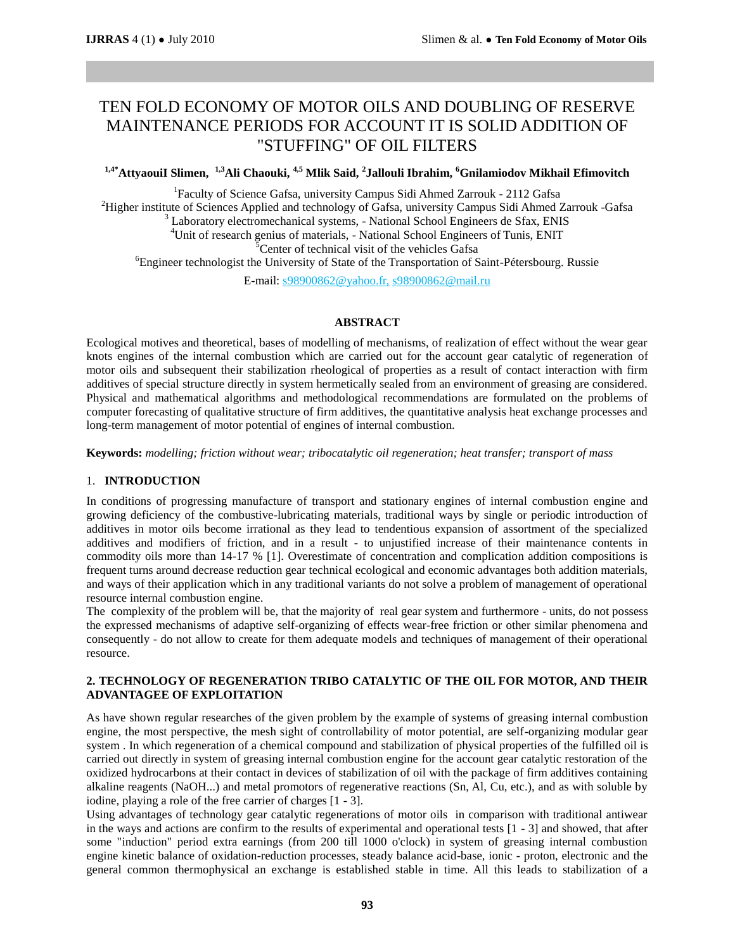# TEN FOLD ECONOMY OF MOTOR OILS AND DOUBLING OF RESERVE MAINTENANCE PERIODS FOR ACCOUNT IT IS SOLID ADDITION OF "STUFFING" OF OIL FILTERS

**1,4\*AttyaouiI Slimen, 1,3Ali Chaouki, 4,5 Mlik Said, <sup>2</sup> Jallouli Ibrahim, <sup>6</sup>Gnilamiodov Mikhail Efimovitch**

<sup>1</sup>Faculty of Science Gafsa, university Campus Sidi Ahmed Zarrouk - 2112 Gafsa <sup>2</sup>Higher institute of Sciences Applied and technology of Gafsa, university Campus Sidi Ahmed Zarrouk -Gafsa <sup>3</sup> Laboratory electromechanical systems, - National School Engineers de Sfax, ENIS <sup>4</sup>Unit of research genius of materials, - National School Engineers of Tunis, ENIT <sup>5</sup>Center of technical visit of the vehicles Gafsa <sup>6</sup>Engineer technologist the University of State of the Transportation of Saint-Pétersbourg. Russie E-mail: s98900862@yahoo.fr, s98900862@mail.ru

### **ABSTRACT**

Ecological motives and theoretical, bases of modelling of mechanisms, of realization of effect without the wear gear knots engines of the internal combustion which are carried out for the account gear catalytic of regeneration of motor oils and subsequent their stabilization rheological of properties as a result of contact interaction with firm additives of special structure directly in system hermetically sealed from an environment of greasing are considered. Physical and mathematical algorithms and methodological recommendations are formulated on the problems of computer forecasting of qualitative structure of firm additives, the quantitative analysis heat exchange processes and long-term management of motor potential of engines of internal combustion.

**Keywords:** *modelling; friction without wear; tribocatalytic oil regeneration; heat transfer; transport of mass*

### 1. **INTRODUCTION**

In conditions of progressing manufacture of transport and stationary engines of internal combustion engine and growing deficiency of the combustive-lubricating materials, traditional ways by single or periodic introduction of additives in motor oils become irrational as they lead to tendentious expansion of assortment of the specialized additives and modifiers of friction, and in a result - to unjustified increase of their maintenance contents in commodity oils more than 14-17 % [1]. Overestimate of concentration and complication addition compositions is frequent turns around decrease reduction gear technical ecological and economic advantages both addition materials, and ways of their application which in any traditional variants do not solve a problem of management of operational resource internal combustion engine.

The complexity of the problem will be, that the majority of real gear system and furthermore - units, do not possess the expressed mechanisms of adaptive self-organizing of effects wear-free friction or other similar phenomena and consequently - do not allow to create for them adequate models and techniques of management of their operational resource.

# **2. TECHNOLOGY OF REGENERATION TRIBO CATALYTIC OF THE OIL FOR MOTOR, AND THEIR ADVANTAGEE OF EXPLOITATION**

As have shown regular researches of the given problem by the example of systems of greasing internal combustion engine, the most perspective, the mesh sight of controllability of motor potential, are self-organizing modular gear system . In which regeneration of a chemical compound and stabilization of physical properties of the fulfilled oil is carried out directly in system of greasing internal combustion engine for the account gear catalytic restoration of the oxidized hydrocarbons at their contact in devices of stabilization of oil with the package of firm additives containing alkaline reagents (NaOH...) and metal promotors of regenerative reactions (Sn, Al, Cu, etc.), and as with soluble by iodine, playing a role of the free carrier of charges [1 - 3].

Using advantages of technology gear catalytic regenerations of motor oils in comparison with traditional antiwear in the ways and actions are confirm to the results of experimental and operational tests [1 - 3] and showed, that after some "induction" period extra earnings (from 200 till 1000 o'clock) in system of greasing internal combustion engine kinetic balance of oxidation-reduction processes, steady balance acid-base, ionic - proton, electronic and the general common thermophysical an exchange is established stable in time. All this leads to stabilization of a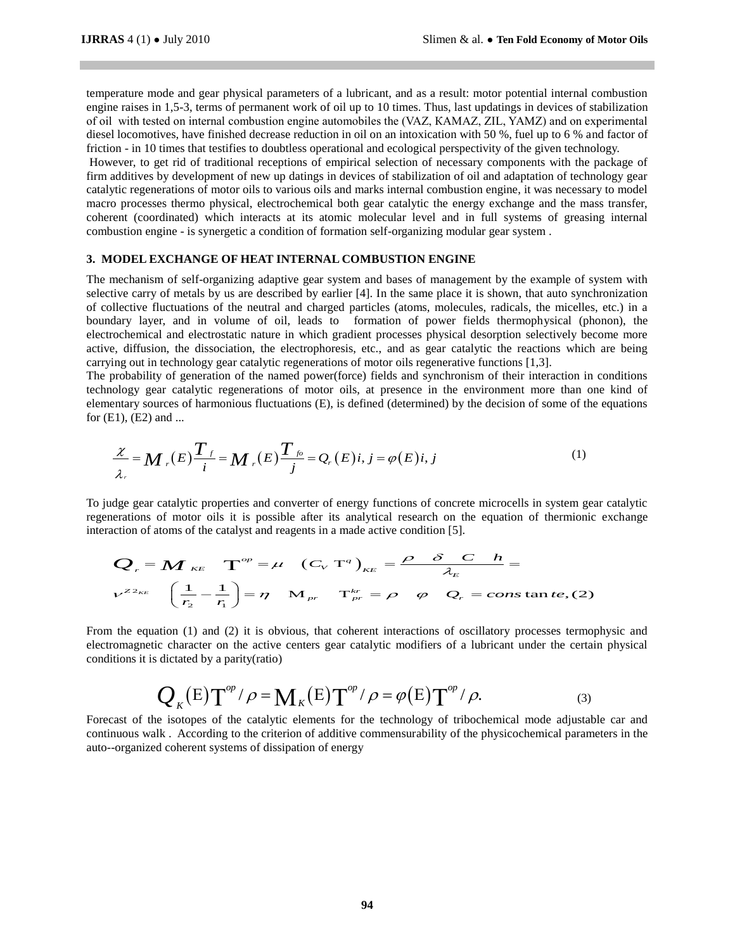temperature mode and gear physical parameters of a lubricant, and as a result: motor potential internal combustion engine raises in 1,5-3, terms of permanent work of oil up to 10 times. Thus, last updatings in devices of stabilization of oil with tested on internal combustion engine automobiles the (VAZ, КАМАZ, ZIL, YAMZ) and on experimental diesel locomotives, have finished decrease reduction in oil on an intoxication with 50 %, fuel up to 6 % and factor of friction - in 10 times that testifies to doubtless operational and ecological perspectivity of the given technology.

However, to get rid of traditional receptions of empirical selection of necessary components with the package of firm additives by development of new up datings in devices of stabilization of oil and adaptation of technology gear catalytic regenerations of motor oils to various oils and marks internal combustion engine, it was necessary to model macro processes thermo physical, electrochemical both gear catalytic the energy exchange and the mass transfer, coherent (coordinated) which interacts at its atomic molecular level and in full systems of greasing internal combustion engine - is synergetic a condition of formation self-organizing modular gear system .

### **3. MODEL EXCHANGE OF HEAT INTERNAL COMBUSTION ENGINE**

The mechanism of self-organizing adaptive gear system and bases of management by the example of system with selective carry of metals by us are described by earlier [4]. In the same place it is shown, that auto synchronization of collective fluctuations of the neutral and charged particles (atoms, molecules, radicals, the micelles, etc.) in a boundary layer, and in volume of oil, leads to formation of power fields thermophysical (phonon), the electrochemical and electrostatic nature in which gradient processes physical desorption selectively become more active, diffusion, the dissociation, the electrophoresis, etc., and as gear catalytic the reactions which are being carrying out in technology gear catalytic regenerations of motor oils regenerative functions [1,3].

The probability of generation of the named power(force) fields and synchronism of their interaction in conditions technology gear catalytic regenerations of motor oils, at presence in the environment more than one kind of elementary sources of harmonious fluctuations (E), is defined (determined) by the decision of some of the equations for  $(E1)$ ,  $(E2)$  and ...

technology gear catalytic regenerations of motor oils, at presence in the environment more than  
elementary sources of harmonious fluctuations (E), is defined (determined) by the decision of some of the  
for (E1), (E2) and ...  

$$
\frac{\chi}{\lambda_r} = M_r(E) \frac{T_f}{i} = M_r(E) \frac{T_{fo}}{j} = Q_r(E)i, j = \varphi(E)i, j
$$
 (1)

To judge gear catalytic properties and converter of energy functions of concrete microcells in system gear catalytic regenerations of motor oils it is possible after its analytical research on the equation of thermionic exchange Four catalytic properties and converter of energy functions of concrete microcells in system get<br>as of motor oils it is possible after its analytical research on the equation of thermioni<br>of atoms of the catalyst and reag

interaction of atoms of the catalyst and reagents in a made active condition [5].  
\n
$$
Q_r = M \kappa_E \tT^{\circ p} = \mu \t(C_V \tT^q)_{KE} = \frac{\rho \delta C h}{\lambda_E} =
$$
\n
$$
V^{Z^2 \kappa_E} \left( \frac{1}{r_2} - \frac{1}{r_1} \right) = \eta \tM_{pr} \tT^{\kappa_r}_{pr} = \rho \t\varphi \tQ_r = const \tan t e, (2)
$$

From the equation (1) and (2) it is obvious, that coherent interactions of oscillatory processes termophysic and electromagnetic character on the active centers gear catalytic modifiers of a lubricant under the certain physical conditions it is dictated by a parity(ratio)<br>  $Q_K(E) T^{op}/\rho = M_K(E) T^{op}/\rho = \varphi(E) T^{op}/\rho.$  (3) conditions it is dictated by a parity(ratio)

conditions it is dictated by a parity(ratio)  
\n
$$
Q_K(E)\Upsilon^{op}/\rho = M_K(E)\Upsilon^{op}/\rho = \varphi(E)\Upsilon^{op}/\rho.
$$
\n(3)

Forecast of the isotopes of the catalytic elements for the technology of tribochemical mode adjustable car and continuous walk . According to the criterion of additive commensurability of the physicochemical parameters in the auto--organized coherent systems of dissipation of energy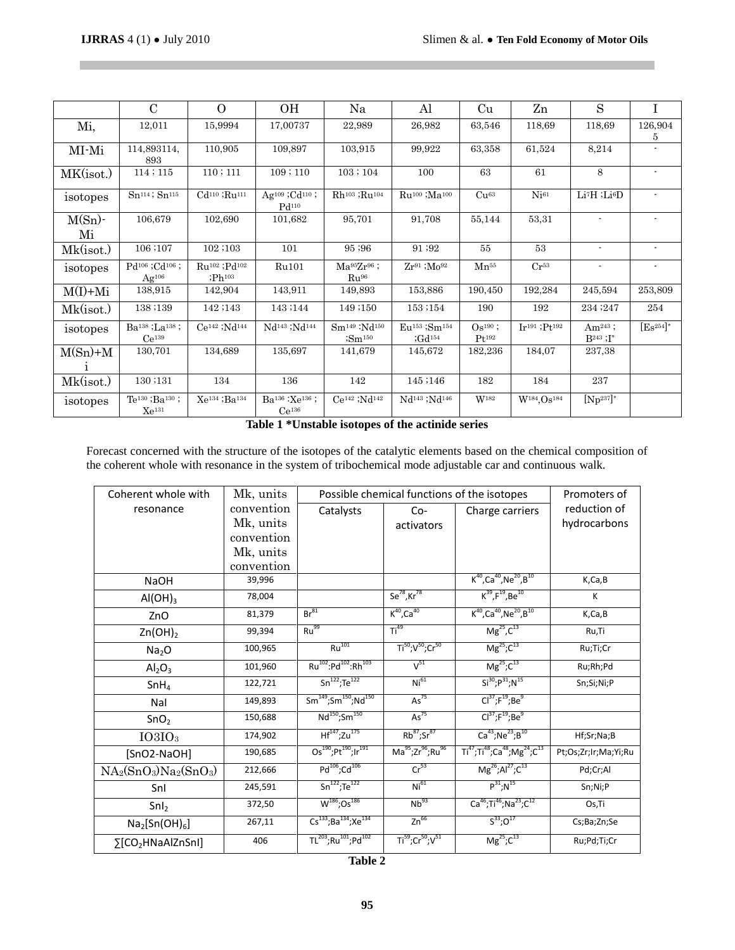$\mathcal{L}_{\mathcal{A}}$ 

|                 | $\mathbf C$                                                  | $\overline{O}$                                            | OН                                                                           | Na                                                                       | Al                                                                       | Cu                      | Zn                                  | S                                     | T              |
|-----------------|--------------------------------------------------------------|-----------------------------------------------------------|------------------------------------------------------------------------------|--------------------------------------------------------------------------|--------------------------------------------------------------------------|-------------------------|-------------------------------------|---------------------------------------|----------------|
| Mi,             | 12,011                                                       | 15,9994                                                   | 17,00737                                                                     | 22,989                                                                   | 26,982                                                                   | 63,546                  | 118.69                              | 118,69                                | 126,904<br>5   |
| MI-Mi           | 114,893114,<br>893                                           | 110,905                                                   | 109,897                                                                      | 103,915                                                                  | 99,922                                                                   | 63,358                  | 61,524                              | 8,214                                 |                |
| MK(isot.)       | 114;115                                                      | 110; 111                                                  | 109;110                                                                      | 103; 104                                                                 | 100                                                                      | 63                      | 61                                  | 8                                     |                |
| isotopes        | $Sn^{114}$ ; $Sn^{115}$                                      | Cd <sup>110</sup> ;Ru <sup>111</sup>                      | Ag <sup>109</sup> ;Cd <sup>110</sup> ;<br>Pd <sub>110</sub>                  | Rh <sup>103</sup> ;Ru <sup>104</sup>                                     | Ru <sup>100</sup> ;Ma <sup>100</sup>                                     | Cu <sup>63</sup>        | Ni <sup>61</sup>                    | $Li7H$ ; $Li6D$                       |                |
| $M(Sn)$ -<br>Mi | 106,679                                                      | 102,690                                                   | 101,682                                                                      | 95,701                                                                   | 91,708                                                                   | 55,144                  | 53,31                               | $\blacksquare$                        |                |
| Mk(isot.)       | 106;107                                                      | 102;103                                                   | 101                                                                          | 95;96                                                                    | 91;92                                                                    | 55                      | 53                                  | $\blacksquare$                        | $\blacksquare$ |
| isotopes        | Pd <sup>106</sup> ;Cd <sup>106</sup> ;<br>$Ag^{106}$         | Ru <sup>102</sup> ;Pd <sup>102</sup><br>Ph <sup>103</sup> | Ru101                                                                        | $Ma^{95}Zr^{96}$ ;<br>Ru <sup>96</sup>                                   | $Zr^{91}$ ; $Mo^{92}$                                                    | $Mn^{55}$               | $Cr^{53}$                           | $\blacksquare$                        |                |
| $M(I) + Mi$     | 138,915                                                      | 142,904                                                   | 143,911                                                                      | 149,893                                                                  | 153,886                                                                  | 190,450                 | 192,284                             | 245,594                               | 253,809        |
| Mk(isot.)       | 138;139                                                      | 142;143                                                   | 143;144                                                                      | 149;150                                                                  | 153;154                                                                  | 190                     | 192                                 | 234 ; 247                             | 254            |
| isotopes        | Ba <sup>138</sup> ;La <sup>138</sup> ;<br>Ce <sup>139</sup>  | Ce <sup>142</sup> ;Nd <sup>144</sup>                      | Nd <sup>143</sup> ;Nd <sup>144</sup>                                         | Sm <sup>149</sup> :Nd <sup>150</sup><br>$\mathop{\rm Sm}\nolimits^{150}$ | Eu <sup>153</sup> ;Sm <sup>154</sup><br>Gd <sup>154</sup>                | $Os190$ ;<br>$Pt^{192}$ | $Ir191$ ; Pt <sub>192</sub>         | Am <sup>243</sup> ;<br>$B^{243}$ ; I* | $[ES254]*$     |
| $M(Sn)+M$       | 130,701                                                      | 134,689                                                   | 135,697                                                                      | 141,679                                                                  | 145,672                                                                  | 182,236                 | 184,07                              | 237,38                                |                |
| Mk(isot.)       | 130;131                                                      | 134                                                       | 136                                                                          | 142                                                                      | 145;146                                                                  | 182                     | 184                                 | 237                                   |                |
| isotopes        | Te <sup>130</sup> ; Ba <sup>130</sup> ;<br>Xe <sup>131</sup> | Xe <sup>134</sup> ; Ba <sup>134</sup>                     | Ba <sup>136</sup> : Xe <sup>136</sup> ;<br>$Ce^{136}$<br><b>PER RESIDENT</b> | $Ce142$ ; Nd <sup>142</sup><br>.                                         | Nd <sup>143</sup> ;Nd <sup>146</sup><br>$\mathbf{a}$ . $\mathbf{v}$<br>. | W <sup>182</sup>        | W <sup>184</sup> .Os <sup>184</sup> | $[\text{Np}^{237}]^*$                 |                |

**Table 1 \*Unstable isotopes of the actinide series**

Forecast concerned with the structure of the isotopes of the catalytic elements based on the chemical composition of the coherent whole with resonance in the system of tribochemical mode adjustable car and continuous walk.

| Coherent whole with                   | Possible chemical functions of the isotopes |                                                         |                                                      | Promoters of                                                                         |                      |
|---------------------------------------|---------------------------------------------|---------------------------------------------------------|------------------------------------------------------|--------------------------------------------------------------------------------------|----------------------|
| resonance                             | convention                                  | Catalysts                                               | $Co-$                                                | Charge carriers                                                                      | reduction of         |
|                                       | Mk, units                                   |                                                         | activators                                           |                                                                                      | hydrocarbons         |
|                                       | convention                                  |                                                         |                                                      |                                                                                      |                      |
|                                       | Mk, units                                   |                                                         |                                                      |                                                                                      |                      |
|                                       | convention                                  |                                                         |                                                      |                                                                                      |                      |
| <b>NaOH</b>                           | 39,996                                      |                                                         |                                                      | $K^{40}$ , Ca <sup>40</sup> , Ne <sup>20</sup> , B <sup>10</sup>                     | K,Ca,B               |
| AI(OH) <sub>3</sub>                   | 78,004                                      |                                                         | $Se^{78}$ , Kr $^{78}$                               | $K^{39}$ , $F^{19}$ , Be <sup>10</sup>                                               | К                    |
| ZnO                                   | 81,379                                      | $Br^{81}$                                               | $K^{40}$ ,Ca <sup>40</sup>                           | $K^{40}$ , Ca <sup>40</sup> , Ne <sup>20</sup> , B <sup>10</sup>                     | K, Ca, B             |
| $Zn(OH)_2$                            | 99,394                                      | Ru <sup>99</sup>                                        | Ti <sup>49</sup>                                     | $Mg^{25}$ , $C^{13}$                                                                 | Ru,Ti                |
| Na <sub>2</sub> O                     | 100,965                                     | $Ru^{101}$                                              | $Ti^{50}$ ; V <sup>50</sup> ; Cr <sup>50</sup>       | $Mg^{25}$ ; $C^{13}$                                                                 | Ru;Ti;Cr             |
| Al <sub>2</sub> O <sub>3</sub>        | 101,960                                     | Ru <sup>102</sup> :Pd <sup>102</sup> :Rh <sup>103</sup> | $V^{51}$                                             | $Mg^{25}$ ; $C^{13}$                                                                 | Ru;Rh;Pd             |
| SnH <sub>4</sub>                      | 122,721                                     | $Sn^{122}; Te^{122}$                                    | Ni <sup>61</sup>                                     | $Si^{30};P^{31};N^{15}$                                                              | Sn;Si;Ni;P           |
| Nal                                   | 149,893                                     | $Sm^{149}$ ;Sm <sup>150</sup> ;Nd <sup>150</sup>        | As <sup>75</sup>                                     | $Cl37; F19; Be9$                                                                     |                      |
| SnO <sub>2</sub>                      | 150,688                                     | Nd <sup>150</sup> ;Sm <sup>150</sup>                    | As <sup>75</sup>                                     | $Cl37; F19; Be9$                                                                     |                      |
| $IO3IO_3$                             | 174,902                                     | $Hf^{147}$ ;Zu <sup>175</sup>                           | $Rb^{87}$ ;Sr $^{87}$                                | $Ca^{43};Ne^{23};B^{10}$                                                             | Hf;Sr;Na;B           |
| [SnO2-NaOH]                           | 190,685                                     | $Os^{190}$ ; Pt <sup>190</sup> ; Ir <sup>191</sup>      | Ma <sup>95</sup> ;Zr <sup>96</sup> ;Ru <sup>96</sup> | $Ti^{47}$ ; Ti <sup>48</sup> ; Ca <sup>48</sup> ; Mg <sup>24</sup> ; C <sup>13</sup> | Pt;Os;Zr;Ir;Ma;Yi;Ru |
| $NA_2(SnO_3)Na_2(SnO_3)$              | 212,666                                     | Pd <sup>106</sup> ;Cd <sup>106</sup>                    | Cr <sup>53</sup>                                     | $Mg^{26}$ ;Al <sup>27</sup> ;C <sup>13</sup>                                         | Pd;Cr;Al             |
| Snl                                   | 245,591                                     | $Sn^{122}; Te^{122}$                                    | Ni <sup>61</sup>                                     | $P^{31}$ ; N <sup>15</sup>                                                           | Sn;Ni;P              |
| SnI <sub>2</sub>                      | 372,50                                      | $W^{186}$ ; Os <sup>186</sup>                           | Nb <sup>93</sup>                                     | $Ca^{46}$ ;Ti <sup>46</sup> ;Na <sup>23</sup> ;C <sup>12</sup>                       | Os,Ti                |
| $\text{Na}_2[\text{Sn}(\text{OH})_6]$ | 267,11                                      | $Cs^{133}; Ba^{134}; Xe^{134}$                          | $Zn^{66}$                                            | $S^{33}$ ; $O^{17}$                                                                  | Cs;Ba;Zn;Se          |
| ∑[CO2HNaAlZnSnI]                      | 406                                         | TL <sup>203</sup> ;Ru <sup>101</sup> ;Pd <sup>102</sup> | $Ti^{59}$ ; $Cr^{50}$ ; $V^{51}$                     | $Mg^{25}$ ; $C^{13}$                                                                 | Ru;Pd;Ti;Cr          |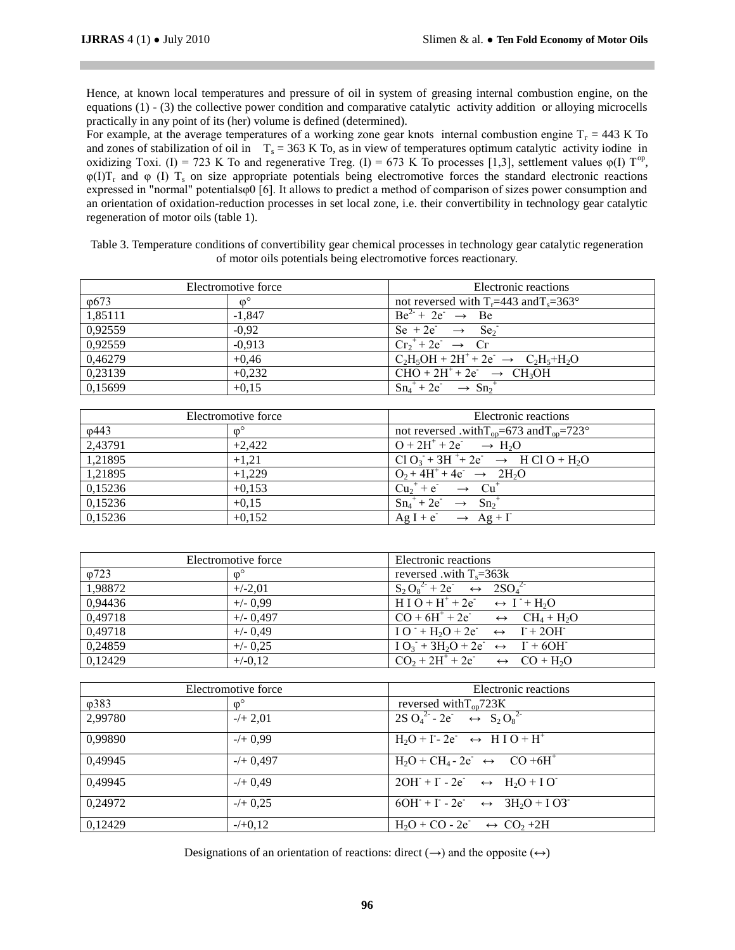Hence, at known local temperatures and pressure of oil in system of greasing internal combustion engine, on the equations (1) - (3) the collective power condition and comparative catalytic activity addition or alloying microcells practically in any point of its (her) volume is defined (determined).

For example, at the average temperatures of a working zone gear knots internal combustion engine  $T<sub>r</sub> = 443$  K To and zones of stabilization of oil in  $T_s = 363$  K To, as in view of temperatures optimum catalytic activity iodine in oxidizing Toxi. (I) = 723 K To and regenerative Treg. (I) = 673 K To processes [1,3], settlement values  $\varphi$ (I) T<sup>op</sup>,  $\varphi(I)T_r$  and  $\varphi(I)T_s$  on size appropriate potentials being electromotive forces the standard electronic reactions expressed in "normal" potentialsφ0 [6]. It allows to predict a method of comparison of sizes power consumption and an orientation of oxidation-reduction processes in set local zone, i.e. their convertibility in technology gear catalytic regeneration of motor oils (table 1).

Table 3. Temperature conditions of convertibility gear chemical processes in technology gear catalytic regeneration of motor oils potentials being electromotive forces reactionary.

| Electromotive force |                  | Electronic reactions                                |
|---------------------|------------------|-----------------------------------------------------|
| $\varphi$ 673       | $\omega^{\circ}$ | not reversed with $T_r = 443$ and $T_s = 363^\circ$ |
| 1,85111             | $-1.847$         | $Be^{2} + 2e^{-} \rightarrow Be$                    |
| 0,92559             | $-0.92$          | Se + 2e $\rightarrow$ Se <sub>2</sub>               |
| 0,92559             | $-0.913$         | $Cr_2^+ + 2e^- \rightarrow Cr$                      |
| 0,46279             | $+0.46$          | $C_2H_5OH + 2H^+ + 2e^- \rightarrow C_2H_5 + H_2O$  |
| 0,23139             | $+0,232$         | $CHO + 2H^+ + 2e^- \rightarrow CH_3OH$              |
| 0,15699             | $+0.15$          | $Sn_4^+ + 2e^- \rightarrow Sn_2^+$                  |

| Electromotive force |                  | Electronic reactions                                         |  |
|---------------------|------------------|--------------------------------------------------------------|--|
| $\varphi$ 443       | $\omega^{\circ}$ | not reversed .with $T_{on} = 673$ and $T_{on} = 723^{\circ}$ |  |
| 2,43791             | $+2.422$         | $Q + 2H^+ + 2e^- \rightarrow H_2O$                           |  |
| 1,21895             | $+1.21$          | $Cl O_3 + 3H^+ + 2e^- \rightarrow H Cl O + H_2O$             |  |
| 1,21895             | $+1,229$         | $Q_2 + 4H^+ + 4e^- \rightarrow 2H_2O$                        |  |
| 0,15236             | $+0,153$         | $Cu2+ + e^ \rightarrow$ $Cu+$                                |  |
| 0,15236             | $+0,15$          | $Sn_4^+ + 2e^- \rightarrow Sn_2^+$                           |  |
| 0,15236             | $+0.152$         | $Ag I + e^- \rightarrow Ag + I^-$                            |  |

| Electromotive force |                  | Electronic reactions                                                                          |  |  |
|---------------------|------------------|-----------------------------------------------------------------------------------------------|--|--|
| 0723                | $\omega^{\circ}$ | reversed with $T_s = 363k$                                                                    |  |  |
| 1,98872             | $+/-2.01$        | $\overline{S_2 O_8^{2}}$ + 2e <sup>-</sup> $\leftrightarrow$ 2SO <sub>4</sub> <sup>2-</sup>   |  |  |
| 0,94436             | $+/- 0.99$       | $H I O + H^+ + 2e^- \rightarrow I^+ + H_2O$                                                   |  |  |
| 0,49718             | $+/- 0,497$      | $CO + 6H^+ + 2e^ \leftrightarrow$ $CH_4 + H_2O$                                               |  |  |
| 0,49718             | $+/- 0.49$       | $IO^+ + H_2O + 2e^- \leftrightarrow I^+ + 2OH^-$                                              |  |  |
| 0,24859             | $+/- 0,25$       | $IO_3 + 3H_2O + 2e^- \leftrightarrow \Gamma + 6OH^-$                                          |  |  |
| 0,12429             | $+/-0.12$        | $\overline{CO_2}$ + 2H <sup>+</sup> + 2e <sup>+</sup> $\leftrightarrow$ CO + H <sub>2</sub> O |  |  |

| Electromotive force |                  | Electronic reactions                                                |  |
|---------------------|------------------|---------------------------------------------------------------------|--|
| $\varphi$ 383       | $\omega^{\circ}$ | reversed with $T_{\text{on}}$ 723K                                  |  |
| 2,99780             | $-/- 2,01$       | $2S \tO_4^2 - 2e^+ \leftrightarrow S_2 O_8^2$                       |  |
| 0,99890             | $-/+$ 0.99       | $H_2O + I - 2e^- \leftrightarrow H I O + H^+$                       |  |
| 0,49945             | $-/- 0,497$      | $H_2O + CH_4 - 2e^- \leftrightarrow CO + 6H^+$                      |  |
| 0,49945             | $-/-$ 0.49       | $2OH + I - 2e^ \leftrightarrow$ H <sub>2</sub> O + I O <sup>-</sup> |  |
| 0,24972             | $-/-$ 0.25       | $6OH + I - 2e^- \leftrightarrow 3H_2O + I O3^-$                     |  |
| 0,12429             | $-/-0.12$        | $H_2O + CO - 2e^ \leftrightarrow CO_2 + 2H$                         |  |

Designations of an orientation of reactions: direct  $(\rightarrow)$  and the opposite  $(\rightarrow)$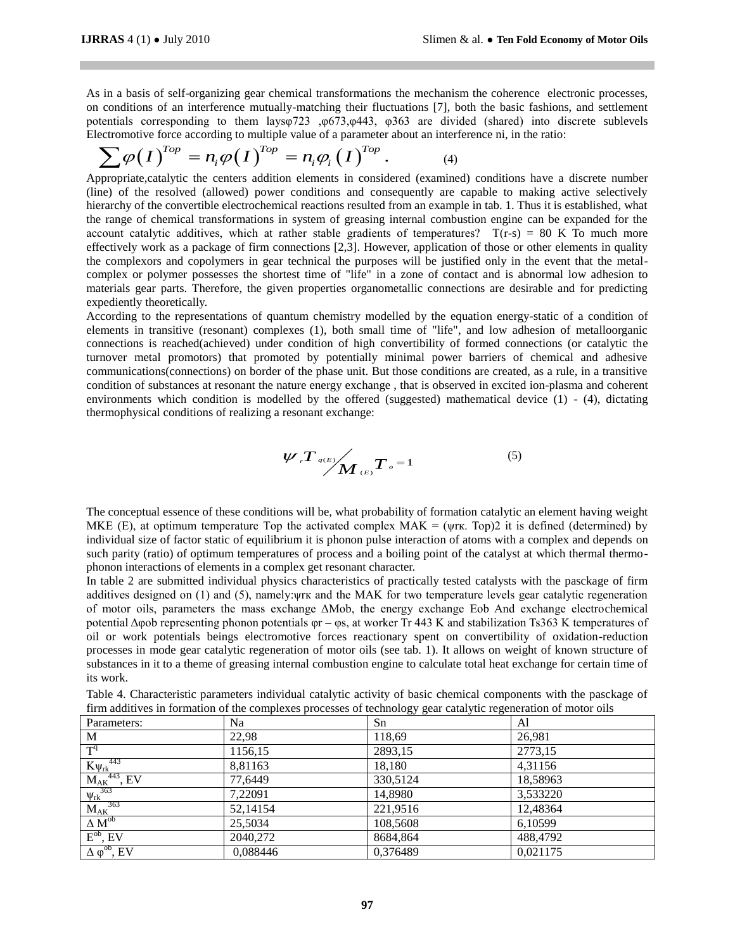As in a basis of self-organizing gear chemical transformations the mechanism the coherence electronic processes, on conditions of an interference mutually-matching their fluctuations [7], both the basic fashions, and settlement potentials corresponding to them laysφ723 ,φ673,φ443, φ363 are divided (shared) into discrete sublevels potentials corresponding to them layso (23 , 60/3, 6443, 6363 are divided (shared) into difference of a parameter about an interference ni, in the ratio:<br>  $\sum \varphi(I)^{Top} = n_i \varphi(I)^{Top} = n_i \varphi_i(I)^{Top}$ . (4)

$$
\sum \varphi(I)^{Top} = n_i \varphi(I)^{Top} = n_i \varphi_i(I)^{Top}.
$$
 (4)

Appropriate,catalytic the centers addition elements in considered (examined) conditions have a discrete number (line) of the resolved (allowed) power conditions and consequently are capable to making active selectively hierarchy of the convertible electrochemical reactions resulted from an example in tab. 1. Thus it is established, what the range of chemical transformations in system of greasing internal combustion engine can be expanded for the account catalytic additives, which at rather stable gradients of temperatures?  $T(r-s) = 80$  K To much more effectively work as a package of firm connections [2,3]. However, application of those or other elements in quality the complexors and copolymers in gear technical the purposes will be justified only in the event that the metalcomplex or polymer possesses the shortest time of "life" in a zone of contact and is abnormal low adhesion to materials gear parts. Therefore, the given properties organometallic connections are desirable and for predicting expediently theoretically.

According to the representations of quantum chemistry modelled by the equation energy-static of a condition of elements in transitive (resonant) complexes (1), both small time of "life", and low adhesion of metalloorganic connections is reached(achieved) under condition of high convertibility of formed connections (or catalytic the turnover metal promotors) that promoted by potentially minimal power barriers of chemical and adhesive communications(connections) on border of the phase unit. But those conditions are created, as a rule, in a transitive condition of substances at resonant the nature energy exchange , that is observed in excited ion-plasma and coherent environments which condition is modelled by the offered (suggested) mathematical device  $(1)$  -  $(4)$ , dictating thermophysical conditions of realizing a resonant exchange:

$$
\mathscr{W} \mathscr{F} \leftarrow \mathscr{N} \leftarrow \mathscr{N} \leftarrow \mathscr{N} \leftarrow \mathscr{N} \leftarrow \mathscr{N} \leftarrow \mathscr{N} \leftarrow \mathscr{N} \leftarrow \mathscr{N} \leftarrow \mathscr{N} \leftarrow \mathscr{N} \leftarrow \mathscr{N} \leftarrow \mathscr{N} \leftarrow \mathscr{N} \leftarrow \mathscr{N} \leftarrow \mathscr{N} \leftarrow \mathscr{N} \leftarrow \mathscr{N} \leftarrow \mathscr{N} \leftarrow \mathscr{N} \leftarrow \mathscr{N} \leftarrow \mathscr{N} \leftarrow \mathscr{N} \leftarrow \mathscr{N} \leftarrow \mathscr{N} \leftarrow \mathscr{N} \leftarrow \mathscr{N} \leftarrow \mathscr{N} \leftarrow \mathscr{N} \leftarrow \mathscr{N} \leftarrow \mathscr{N} \leftarrow \mathscr{N} \leftarrow \mathscr{N} \leftarrow \mathscr{N} \leftarrow \mathscr{N} \leftarrow \mathscr{N} \leftarrow \mathscr{N} \leftarrow \mathscr{N} \leftarrow \mathscr{N} \leftarrow \mathscr{N} \leftarrow \mathscr{N} \leftarrow \mathscr{N} \leftarrow \mathscr{N} \leftarrow \mathscr{N} \leftarrow \mathscr{N} \leftarrow \mathscr{N} \leftarrow \mathscr{N} \leftarrow \mathscr{N} \leftarrow \mathscr{N} \leftarrow \mathscr{N} \leftarrow \mathscr{N} \leftarrow \mathscr{N} \leftarrow \mathscr{N} \leftarrow \mathscr{N} \leftarrow \mathscr{N} \leftarrow \mathscr{N} \leftarrow \mathscr{N} \leftarrow \mathscr{N} \leftarrow \mathscr{N} \leftarrow \mathscr{N} \leftarrow \mathscr{N} \leftarrow \mathscr{N} \leftarrow \mathscr{N} \leftarrow \mathscr{N} \leftarrow \mathscr{N} \leftarrow \mathscr{N} \leftarrow \mathscr{N} \leftarrow \mathscr{N} \leftarrow \mathscr{N} \leftarrow \mathscr{N} \leftarrow \mathscr{N} \leftarrow \mathscr{N} \leftarrow \mathscr{N} \leftarrow \mathscr{N} \leftarrow \mathscr{N} \leftarrow \mathscr{N} \leftarrow \mathscr{N} \leftarrow \mathscr{N} \leftarrow \mathscr{N} \leftarrow \mathscr{N} \leftarrow \mathscr{N} \leftarrow \mathscr{N} \leftarrow \mathscr{N} \leftarrow \mathscr{N} \
$$

The conceptual essence of these conditions will be, what probability of formation catalytic an element having weight MKE (E), at optimum temperature Top the activated complex  $MAK = (yrx. Top)2$  it is defined (determined) by individual size of factor static of equilibrium it is phonon pulse interaction of atoms with a complex and depends on such parity (ratio) of optimum temperatures of process and a boiling point of the catalyst at which thermal thermophonon interactions of elements in a complex get resonant character.

In table 2 are submitted individual physics characteristics of practically tested catalysts with the pasckage of firm additives designed on (1) and (5), namely:ψrк and the MAK for two temperature levels gear catalytic regeneration of motor oils, parameters the mass exchange ΔМob, the energy exchange Eob And exchange electrochemical potential Δφob representing phonon potentials φr – φs, at worker Tr 443 K and stabilization Ts363 K temperatures of oil or work potentials beings electromotive forces reactionary spent on convertibility of oxidation-reduction processes in mode gear catalytic regeneration of motor oils (see tab. 1). It allows on weight of known structure of substances in it to a theme of greasing internal combustion engine to calculate total heat exchange for certain time of its work.

| tirm additives in formation of the complexes processes of technology gear catalytic regeneration of motor oils |          |          |          |  |  |
|----------------------------------------------------------------------------------------------------------------|----------|----------|----------|--|--|
| Parameters:                                                                                                    | Na       | Sn       | Al       |  |  |
| M                                                                                                              | 22,98    | 118,69   | 26,981   |  |  |
| T <sup>q</sup>                                                                                                 | 1156,15  | 2893,15  | 2773,15  |  |  |
|                                                                                                                | 8,81163  | 18,180   | 4,31156  |  |  |
| $\frac{K \psi_{rk}^{443}}{M_{AK}^{443}, \text{EV}}$                                                            | 77,6449  | 330,5124 | 18,58963 |  |  |
| $\frac{363}{\text{V} \cdot \text{k}}$                                                                          | 7,22091  | 14,8980  | 3,533220 |  |  |
| $M_{AK}$ <sup>363</sup>                                                                                        | 52,14154 | 221.9516 | 12,48364 |  |  |
| $\Delta M^{ob}$                                                                                                | 25,5034  | 108,5608 | 6.10599  |  |  |
| $E^{ob}$ , EV                                                                                                  | 2040.272 | 8684.864 | 488,4792 |  |  |
| $\Delta \varphi^{ob}$ , EV                                                                                     | 0.088446 | 0,376489 | 0.021175 |  |  |

Table 4. Characteristic parameters individual catalytic activity of basic chemical components with the pasckage of firm additives in formation of the complexes processes of technology gear catalytic regeneration of motor oils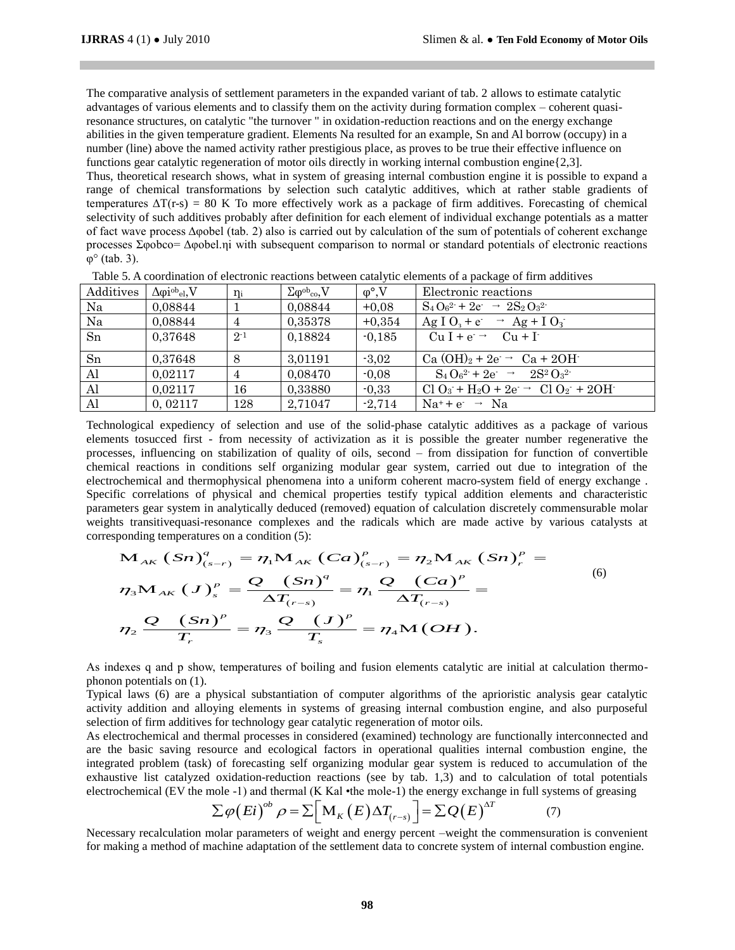The comparative analysis of settlement parameters in the expanded variant of tab. 2 allows to estimate catalytic advantages of various elements and to classify them on the activity during formation complex – coherent quasiresonance structures, on catalytic "the turnover " in oxidation-reduction reactions and on the energy exchange abilities in the given temperature gradient. Elements Na resulted for an example, Sn and Al borrow (occupy) in a number (line) above the named activity rather prestigious place, as proves to be true their effective influence on functions gear catalytic regeneration of motor oils directly in working internal combustion engine{2,3].

Thus, theoretical research shows, what in system of greasing internal combustion engine it is possible to expand a range of chemical transformations by selection such catalytic additives, which at rather stable gradients of temperatures  $\Delta T(r-s) = 80$  K To more effectively work as a package of firm additives. Forecasting of chemical selectivity of such additives probably after definition for each element of individual exchange potentials as a matter of fact wave process Δφobel (tab. 2) also is carried out by calculation of the sum of potentials of coherent exchange processes Σφobco= Δφobel.ηi with subsequent comparison to normal or standard potentials of electronic reactions  $\varphi^{\circ}$  (tab. 3).

| Additives    | $\Delta \varphi i^{ob}$ <sub>el</sub> , V | $\eta_i$       | $\Sigma \varphi^{\rm ob}{}_{\rm co}$ , V | $\varphi^{\circ}$ , V | Electronic reactions                                                        |
|--------------|-------------------------------------------|----------------|------------------------------------------|-----------------------|-----------------------------------------------------------------------------|
| Na           | 0,08844                                   |                | 0,08844                                  | $+0.08$               | $S_4O_6^{2}$ + 2e $\rightarrow$ 2S <sub>2</sub> O <sub>3</sub> <sup>2</sup> |
| Na           | 0,08844                                   | $\overline{4}$ | 0,35378                                  | $+0,354$              | $\text{Ag I O}_3 + \text{e} \rightarrow \text{Ag} + \text{I O}_3$           |
| Sn           | 0,37648                                   | $2^{-1}$       | 0,18824                                  | $-0,185$              | $Cu I + e^- \rightarrow Cu + I^-$                                           |
| Sn           | 0,37648                                   | 8              | 3,01191                                  | $-3.02$               | Ca $(OH)_2 + 2e \rightarrow Ca + 2OH$                                       |
| $\mathbf{A}$ | 0,02117                                   | $\overline{4}$ | 0,08470                                  | $-0.08$               | $S_4 O_6^2$ + 2e $\rightarrow$ 2S <sup>2</sup> $O_3^2$                      |
| Al           | 0,02117                                   | 16             | 0,33880                                  | $-0.33$               | $Cl O_3 + H_2O + 2e \rightarrow Cl O_2 + 2OH$                               |
| Al           | 0,02117                                   | 128            | 2,71047                                  | $-2,714$              | $Na^+ + e^- \rightarrow Na$                                                 |

Table 5. A coordination of electronic reactions between catalytic elements of a package of firm additives

Technological expediency of selection and use of the solid-phase catalytic additives as a package of various elements tosucced first - from necessity of activization as it is possible the greater number regenerative the processes, influencing on stabilization of quality of oils, second – from dissipation for function of convertible chemical reactions in conditions self organizing modular gear system, carried out due to integration of the electrochemical and thermophysical phenomena into a uniform coherent macro-system field of energy exchange . Specific correlations of physical and chemical properties testify typical addition elements and characteristic parameters gear system in analytically deduced (removed) equation of calculation discretely commensurable molar<br>weights transitivequasi-resonance complexes and the radicals which are made active by various catalysts at<br>co weights transitivequasi-resonance complexes and the radicals which are made active by various catalysts at corresponding temperatures on a condition (5):<br> **M**<sub>AK</sub> (Sn)<sup>*q*</sup> = 77<sub>1</sub>**M**<sub>AK</sub> (Ca)<sup>*p*</sup> = 77<sub>2</sub>**M**<sub>AK</sub> (Sn)<sup>*p*</sup> where in analytically deduced (removed) equation of calculation disc<br>equasi-resonance complexes and the radicals which are made act<br>operatures on a condition (5):<br> $\mathbf{S}n \Big)^q_{(s-r)} = \eta_1 \mathbf{M}_{AK} (\mathbf{C}a)_{(s-r)}^p = \eta_2 \mathbf{M}_{AK}$ 

corresponding temperatures on a condition (5):  
\n
$$
M_{AK} (Sn)_{(s-r)}^q = \eta_1 M_{AK} (Ca)_{(s-r)}^p = \eta_2 M_{AK} (Sn)_{r}^p =
$$
\n
$$
\eta_3 M_{AK} (J)_{s}^p = \frac{Q (Sn)^q}{\Delta T_{(r-s)}} = \eta_1 \frac{Q (Ca)^p}{\Delta T_{(r-s)}} =
$$
\n
$$
\eta_2 \frac{Q (Sn)^p}{T_r} = \eta_3 \frac{Q (J)^p}{T_s} = \eta_4 M (OH).
$$
\n(9)

As indexes q and p show, temperatures of boiling and fusion elements catalytic are initial at calculation thermophonon potentials on (1).

Typical laws (6) are a physical substantiation of computer algorithms of the aprioristic analysis gear catalytic activity addition and alloying elements in systems of greasing internal combustion engine, and also purposeful selection of firm additives for technology gear catalytic regeneration of motor oils.

As electrochemical and thermal processes in considered (examined) technology are functionally interconnected and are the basic saving resource and ecological factors in operational qualities internal combustion engine, the integrated problem (task) of forecasting self organizing modular gear system is reduced to accumulation of the exhaustive list catalyzed oxidation-reduction reactions (see by tab. 1,3) and to calculation of total potentials exhaustive list catalyzed oxidation-reduction reactions (see by tab. 1,3) and to calculation of total potential electrochemical (EV the mole -1) and thermal (K Kal •the mole -1) the energy exchange in full systems of grea

$$
\sum \varphi(Ei)^{ob} \rho = \sum \Big[ M_K(E) \Delta T_{(r-s)} \Big] = \sum Q(E)^{\Delta T} \tag{7}
$$

Necessary recalculation molar parameters of weight and energy percent –weight the commensuration is convenient for making a method of machine adaptation of the settlement data to concrete system of internal combustion engine.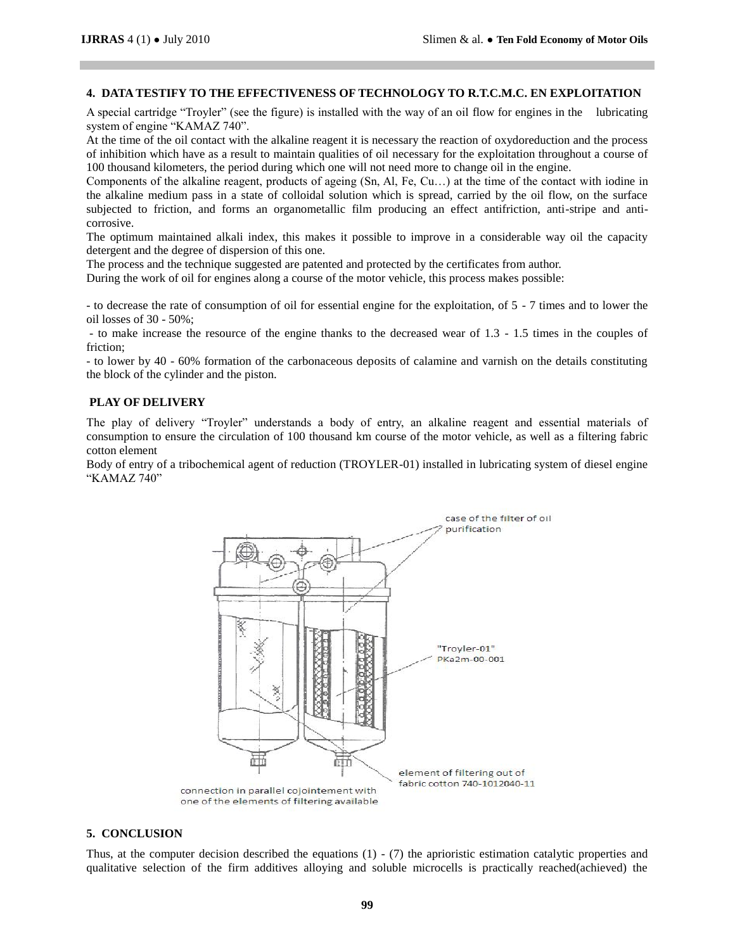# **4. DATA TESTIFY TO THE EFFECTIVENESS OF TECHNOLOGY TO R.T.C.M.C. EN EXPLOITATION**

A special cartridge "Troyler" (see the figure) is installed with the way of an oil flow for engines in the lubricating system of engine "KAMAZ 740".

At the time of the oil contact with the alkaline reagent it is necessary the reaction of oxydoreduction and the process of inhibition which have as a result to maintain qualities of oil necessary for the exploitation throughout a course of 100 thousand kilometers, the period during which one will not need more to change oil in the engine.

Components of the alkaline reagent, products of ageing (Sn, Al, Fe, Cu…) at the time of the contact with iodine in the alkaline medium pass in a state of colloidal solution which is spread, carried by the oil flow, on the surface subjected to friction, and forms an organometallic film producing an effect antifriction, anti-stripe and anticorrosive.

The optimum maintained alkali index, this makes it possible to improve in a considerable way oil the capacity detergent and the degree of dispersion of this one.

The process and the technique suggested are patented and protected by the certificates from author.

During the work of oil for engines along a course of the motor vehicle, this process makes possible:

- to decrease the rate of consumption of oil for essential engine for the exploitation, of 5 - 7 times and to lower the oil losses of 30 - 50%;

- to make increase the resource of the engine thanks to the decreased wear of 1.3 - 1.5 times in the couples of friction;

- to lower by 40 - 60% formation of the carbonaceous deposits of calamine and varnish on the details constituting the block of the cylinder and the piston.

### **PLAY OF DELIVERY**

The play of delivery "Troyler" understands a body of entry, an alkaline reagent and essential materials of consumption to ensure the circulation of 100 thousand km course of the motor vehicle, as well as a filtering fabric cotton element

Body of entry of a tribochemical agent of reduction (TROYLER-01) installed in lubricating system of diesel engine "KAMAZ 740"



#### **5. CONCLUSION**

Thus, at the computer decision described the equations  $(1)$  -  $(7)$  the aprioristic estimation catalytic properties and qualitative selection of the firm additives alloying and soluble microcells is practically reached(achieved) the